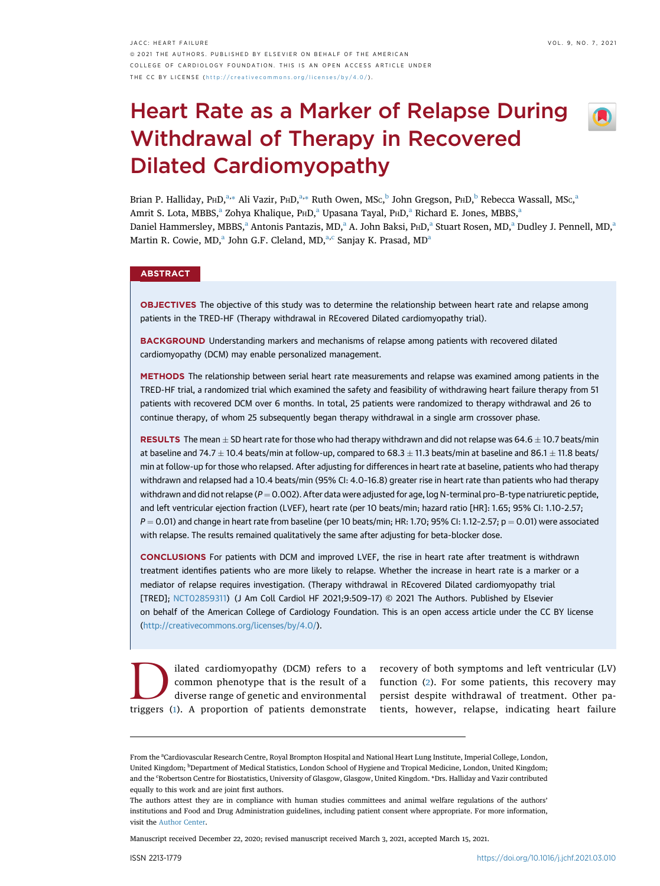JACC: HEART FAILURE VOL. 9, NO. 7, 2021 ª 2021 THE AUTHORS. PUBLISHED BY ELSEVIER ON BEHALF OF THE AMERICAN COLLEGE OF CARDIOLOGY FOUNDATION. THIS IS AN OPEN ACCESS ARTICLE UNDER THE CC BY LICENSE ( <http://creativecommons.org/licenses/by/4.0/> ) .

# Heart Rate as a Marker of Relapse During Withdrawal of Therapy in Recovered Dilated Cardiomyopathy



Bri[a](#page-0-0)n P. Halliday, PHD,<sup>a,[\\*](#page-0-1)</sup> Ali Vazir, PHD,<sup>a,\*</sup> Ruth Owen, MSc,<sup>[b](#page-0-2)</sup> John Gregson, PHD,<sup>b</sup> Rebecca Wassall, MSc,<sup>a</sup> Amrit S. Lot[a](#page-0-0), MBBS,<sup>a</sup> Zohya Khalique, P<sub>HD</sub>,<sup>a</sup> Upasana Tayal, P<sub>HD</sub>,<sup>a</sup> Richard E. Jones, MBBS,<sup>a</sup> D[a](#page-0-0)niel Hammersley, MBBS,<sup>a</sup> Antonis Pantazis, MD,<sup>a</sup> A. John Baksi, PHD,<sup>a</sup> Stuart Rosen, MD,<sup>a</sup> Dudley J. Pennell, MD,<sup>a</sup> M[a](#page-0-0)rtin R. Cowie, MD,<sup>a</sup> John G.F. Cleland, MD,<sup>a[,c](#page-0-1)</sup> Sanjay K. Prasad, MD<sup>a</sup>

# **ABSTRACT**

OBJECTIVES The objective of this study was to determine the relationship between heart rate and relapse among patients in the TRED-HF (Therapy withdrawal in REcovered Dilated cardiomyopathy trial).

**BACKGROUND** Understanding markers and mechanisms of relapse among patients with recovered dilated cardiomyopathy (DCM) may enable personalized management.

METHODS The relationship between serial heart rate measurements and relapse was examined among patients in the TRED-HF trial, a randomized trial which examined the safety and feasibility of withdrawing heart failure therapy from 51 patients with recovered DCM over 6 months. In total, 25 patients were randomized to therapy withdrawal and 26 to continue therapy, of whom 25 subsequently began therapy withdrawal in a single arm crossover phase.

RESULTS The mean  $\pm$  SD heart rate for those who had therapy withdrawn and did not relapse was 64.6  $\pm$  10.7 beats/min at baseline and 74.7  $\pm$  10.4 beats/min at follow-up, compared to 68.3  $\pm$  11.3 beats/min at baseline and 86.1  $\pm$  11.8 beats/ min at follow-up for those who relapsed. After adjusting for differences in heart rate at baseline, patients who had therapy withdrawn and relapsed had a 10.4 beats/min (95% CI: 4.0–16.8) greater rise in heart rate than patients who had therapy withdrawn and did not relapse ( $P = 0.002$ ). After data were adjusted for age, log N-terminal pro-B-type natriuretic peptide, and left ventricular ejection fraction (LVEF), heart rate (per 10 beats/min; hazard ratio [HR]: 1.65; 95% CI: 1.10-2.57;  $P = 0.01$ ) and change in heart rate from baseline (per 10 beats/min; HR: 1.70; 95% CI: 1.12-2.57; p = 0.01) were associated with relapse. The results remained qualitatively the same after adjusting for beta-blocker dose.

CONCLUSIONS For patients with DCM and improved LVEF, the rise in heart rate after treatment is withdrawn treatment identifies patients who are more likely to relapse. Whether the increase in heart rate is a marker or a mediator of relapse requires investigation. (Therapy withdrawal in REcovered Dilated cardiomyopathy trial [TRED]; [NCT02859311\)](https://clinicaltrials.gov/ct2/show/NCT02859311?term=NCT02859311&draw=2&rank=1) (J Am Coll Cardiol HF 2021;9:509–17) © 2021 The Authors. Published by Elsevier on behalf of the American College of Cardiology Foundation. This is an open access article under the CC BY license [\(http://creativecommons.org/licenses/by/4.0/](http://creativecommons.org/licenses/by/4.0/)).

D<br>
lated cardiomyopathy (DCM) refers to a<br>
common phenotype that is the result of a<br>
diverse range of genetic and environmental<br>
triggers (1) A proportion of patients demonstrate common phenotype that is the result of a diverse range of genetic and environmental triggers ([1](#page-8-0)). A proportion of patients demonstrate

recovery of both symptoms and left ventricular (LV) function ([2\)](#page-8-1). For some patients, this recovery may persist despite withdrawal of treatment. Other patients, however, relapse, indicating heart failure

Manuscript received December 22, 2020; revised manuscript received March 3, 2021, accepted March 15, 2021.

<span id="page-0-2"></span><span id="page-0-1"></span><span id="page-0-0"></span>From the <sup>a</sup>Cardiovascular Research Centre, Royal Brompton Hospital and National Heart Lung Institute, Imperial College, London, United Kingdom; <sup>b</sup>Department of Medical Statistics, London School of Hygiene and Tropical Medicine, London, United Kingdom; and the 'Robertson Centre for Biostatistics, University of Glasgow, Glasgow, United Kingdom. \*Drs. Halliday and Vazir contributed equally to this work and are joint first authors.

The authors attest they are in compliance with human studies committees and animal welfare regulations of the authors' institutions and Food and Drug Administration guidelines, including patient consent where appropriate. For more information, visit the [Author Center](https://www.jacc.org/author-center).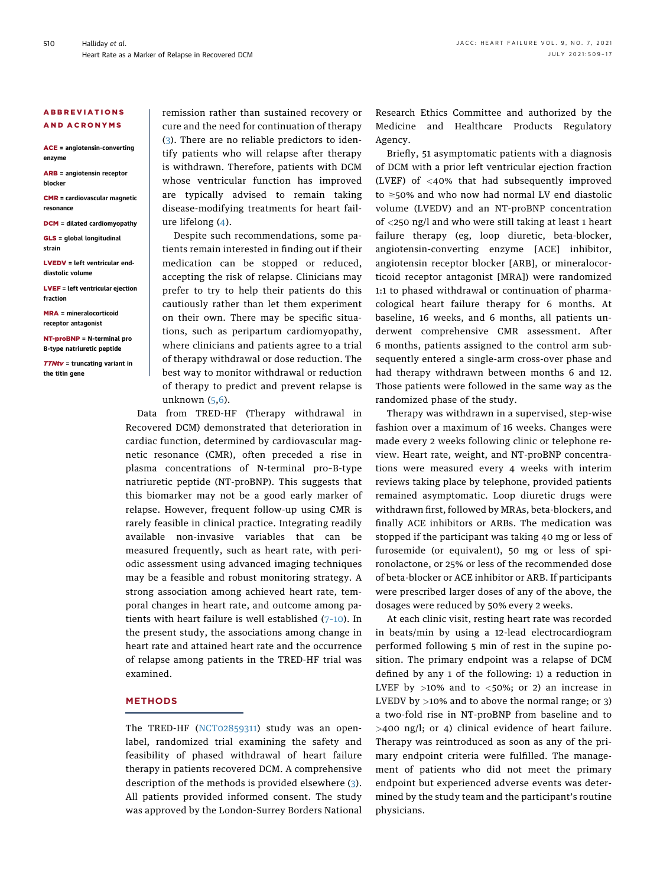#### ABBREVIATIONS AND ACRONYMS

ACE = angiotensin-converting enzyme

ARB = angiotensin receptor blocker

CMR = cardiovascular magnetic resonance

DCM = dilated cardiomyopathy

GLS = global longitudinal strain

LVEDV = left ventricular enddiastolic volume

LVEF = left ventricular ejection fraction

MRA = mineralocorticoid receptor antagonist

NT-proBNP = N-terminal pro B-type natriuretic peptide

TTNtv = truncating variant in the titin gene

remission rather than sustained recovery or cure and the need for continuation of therapy ([3\)](#page-8-2). There are no reliable predictors to identify patients who will relapse after therapy is withdrawn. Therefore, patients with DCM whose ventricular function has improved are typically advised to remain taking disease-modifying treatments for heart failure lifelong ([4](#page-8-3)).

Despite such recommendations, some patients remain interested in finding out if their medication can be stopped or reduced, accepting the risk of relapse. Clinicians may prefer to try to help their patients do this cautiously rather than let them experiment on their own. There may be specific situations, such as peripartum cardiomyopathy, where clinicians and patients agree to a trial of therapy withdrawal or dose reduction. The best way to monitor withdrawal or reduction of therapy to predict and prevent relapse is unknown ([5](#page-8-4),[6\)](#page-8-5).

Data from TRED-HF (Therapy withdrawal in Recovered DCM) demonstrated that deterioration in cardiac function, determined by cardiovascular magnetic resonance (CMR), often preceded a rise in plasma concentrations of N-terminal pro–B-type natriuretic peptide (NT-proBNP). This suggests that this biomarker may not be a good early marker of relapse. However, frequent follow-up using CMR is rarely feasible in clinical practice. Integrating readily available non-invasive variables that can be measured frequently, such as heart rate, with periodic assessment using advanced imaging techniques may be a feasible and robust monitoring strategy. A strong association among achieved heart rate, temporal changes in heart rate, and outcome among patients with heart failure is well established (7–[10](#page-8-6)). In the present study, the associations among change in heart rate and attained heart rate and the occurrence of relapse among patients in the TRED-HF trial was examined.

# **METHODS**

The TRED-HF ([NCT02859311\)](https://clinicaltrials.gov/ct2/show/NCT02859311?term=NCT02859311&draw=2&rank=1) study was an openlabel, randomized trial examining the safety and feasibility of phased withdrawal of heart failure therapy in patients recovered DCM. A comprehensive description of the methods is provided elsewhere [\(3\)](#page-8-2). All patients provided informed consent. The study was approved by the London-Surrey Borders National Research Ethics Committee and authorized by the Medicine and Healthcare Products Regulatory Agency.

Briefly, 51 asymptomatic patients with a diagnosis of DCM with a prior left ventricular ejection fraction (LVEF) of <40% that had subsequently improved to  $\geq$ 50% and who now had normal LV end diastolic volume (LVEDV) and an NT-proBNP concentration of <250 ng/l and who were still taking at least 1 heart failure therapy (eg, loop diuretic, beta-blocker, angiotensin-converting enzyme [ACE] inhibitor, angiotensin receptor blocker [ARB], or mineralocorticoid receptor antagonist [MRA]) were randomized 1:1 to phased withdrawal or continuation of pharmacological heart failure therapy for 6 months. At baseline, 16 weeks, and 6 months, all patients underwent comprehensive CMR assessment. After 6 months, patients assigned to the control arm subsequently entered a single-arm cross-over phase and had therapy withdrawn between months 6 and 12. Those patients were followed in the same way as the randomized phase of the study.

Therapy was withdrawn in a supervised, step-wise fashion over a maximum of 16 weeks. Changes were made every 2 weeks following clinic or telephone review. Heart rate, weight, and NT-proBNP concentrations were measured every 4 weeks with interim reviews taking place by telephone, provided patients remained asymptomatic. Loop diuretic drugs were withdrawn first, followed by MRAs, beta-blockers, and finally ACE inhibitors or ARBs. The medication was stopped if the participant was taking 40 mg or less of furosemide (or equivalent), 50 mg or less of spironolactone, or 25% or less of the recommended dose of beta-blocker or ACE inhibitor or ARB. If participants were prescribed larger doses of any of the above, the dosages were reduced by 50% every 2 weeks.

At each clinic visit, resting heart rate was recorded in beats/min by using a 12-lead electrocardiogram performed following 5 min of rest in the supine position. The primary endpoint was a relapse of DCM defined by any 1 of the following: 1) a reduction in LVEF by  $>10\%$  and to  $<50\%$ ; or 2) an increase in LVEDV by  $>10\%$  and to above the normal range; or 3) a two-fold rise in NT-proBNP from baseline and to >400 ng/l; or 4) clinical evidence of heart failure. Therapy was reintroduced as soon as any of the primary endpoint criteria were fulfilled. The management of patients who did not meet the primary endpoint but experienced adverse events was determined by the study team and the participant's routine physicians.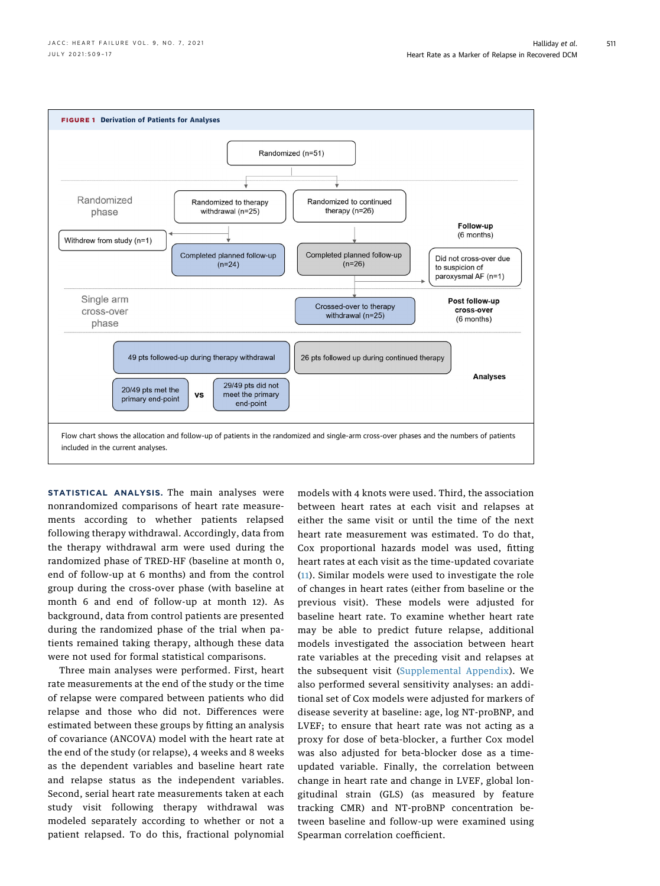<span id="page-2-0"></span>

STATISTICAL ANALYSIS. The main analyses were nonrandomized comparisons of heart rate measurements according to whether patients relapsed following therapy withdrawal. Accordingly, data from the therapy withdrawal arm were used during the randomized phase of TRED-HF (baseline at month 0, end of follow-up at 6 months) and from the control group during the cross-over phase (with baseline at month 6 and end of follow-up at month 12). As background, data from control patients are presented during the randomized phase of the trial when patients remained taking therapy, although these data were not used for formal statistical comparisons.

Three main analyses were performed. First, heart rate measurements at the end of the study or the time of relapse were compared between patients who did relapse and those who did not. Differences were estimated between these groups by fitting an analysis of covariance (ANCOVA) model with the heart rate at the end of the study (or relapse), 4 weeks and 8 weeks as the dependent variables and baseline heart rate and relapse status as the independent variables. Second, serial heart rate measurements taken at each study visit following therapy withdrawal was modeled separately according to whether or not a patient relapsed. To do this, fractional polynomial

models with 4 knots were used. Third, the association between heart rates at each visit and relapses at either the same visit or until the time of the next heart rate measurement was estimated. To do that, Cox proportional hazards model was used, fitting heart rates at each visit as the time-updated covariate ([11\)](#page-8-7). Similar models were used to investigate the role of changes in heart rates (either from baseline or the previous visit). These models were adjusted for baseline heart rate. To examine whether heart rate may be able to predict future relapse, additional models investigated the association between heart rate variables at the preceding visit and relapses at the subsequent visit [\(Supplemental Appendix\)](https://doi.org/10.1016/j.jchf.2021.03.010). We also performed several sensitivity analyses: an additional set of Cox models were adjusted for markers of disease severity at baseline: age, log NT-proBNP, and LVEF; to ensure that heart rate was not acting as a proxy for dose of beta-blocker, a further Cox model was also adjusted for beta-blocker dose as a timeupdated variable. Finally, the correlation between change in heart rate and change in LVEF, global longitudinal strain (GLS) (as measured by feature tracking CMR) and NT-proBNP concentration between baseline and follow-up were examined using Spearman correlation coefficient.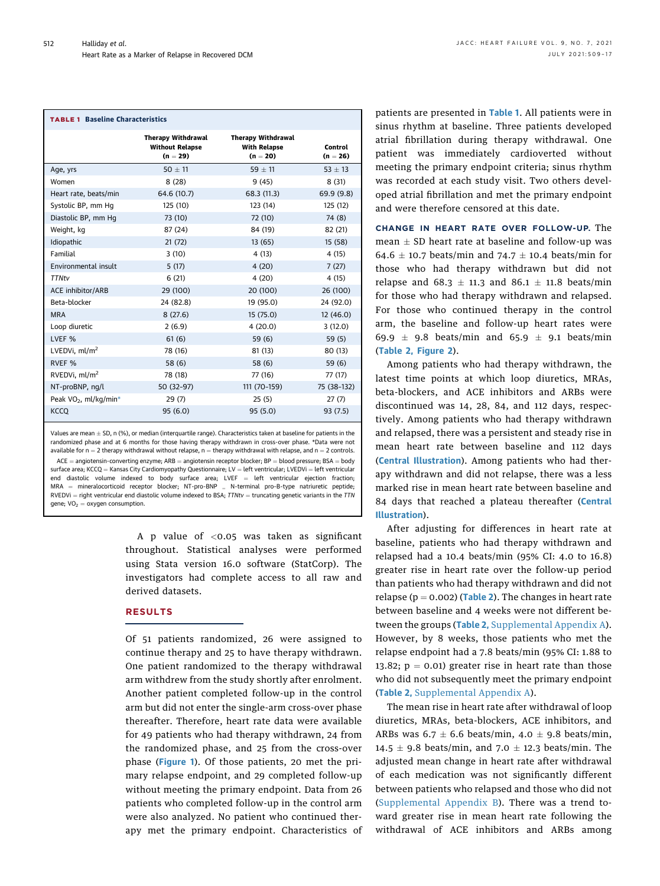<span id="page-3-0"></span>

| <b>TABLE 1 Baseline Characteristics</b> |                                                                   |                                                                |                       |  |  |  |  |  |
|-----------------------------------------|-------------------------------------------------------------------|----------------------------------------------------------------|-----------------------|--|--|--|--|--|
|                                         | <b>Therapy Withdrawal</b><br><b>Without Relapse</b><br>$(n = 29)$ | <b>Therapy Withdrawal</b><br><b>With Relapse</b><br>$(n = 20)$ | Control<br>$(n = 26)$ |  |  |  |  |  |
| Age, yrs                                | $50 + 11$                                                         | $59 \pm 11$                                                    | $53 \pm 13$           |  |  |  |  |  |
| Women                                   | 8(28)                                                             | 9(45)                                                          | 8(31)                 |  |  |  |  |  |
| Heart rate, beats/min                   | 64.6 (10.7)                                                       | 68.3 (11.3)                                                    | 69.9(9.8)             |  |  |  |  |  |
| Systolic BP, mm Hq                      | 125 (10)                                                          | 123 (14)                                                       | 125 (12)              |  |  |  |  |  |
| Diastolic BP, mm Hq                     | 73 (10)                                                           | 72 (10)                                                        | 74 (8)                |  |  |  |  |  |
| Weight, kg                              | 87 (24)                                                           | 84 (19)                                                        | 82 (21)               |  |  |  |  |  |
| Idiopathic                              | 21(72)                                                            | 13(65)                                                         | 15(58)                |  |  |  |  |  |
| Familial                                | 3(10)                                                             | 4(13)                                                          | 4 (15)                |  |  |  |  |  |
| Environmental insult                    | 5(17)                                                             | 4(20)                                                          | 7(27)                 |  |  |  |  |  |
| <b>TTNtv</b>                            | 6(21)                                                             | 4(20)                                                          | 4 (15)                |  |  |  |  |  |
| ACE inhibitor/ARB                       | 29 (100)                                                          | 20 (100)                                                       | 26 (100)              |  |  |  |  |  |
| Beta-blocker                            | 24 (82.8)                                                         | 19 (95.0)                                                      | 24 (92.0)             |  |  |  |  |  |
| <b>MRA</b>                              | 8(27.6)                                                           | 15(75.0)                                                       | 12(46.0)              |  |  |  |  |  |
| Loop diuretic                           | 2(6.9)                                                            | 4(20.0)                                                        | 3(12.0)               |  |  |  |  |  |
| LVEF <sub>%</sub>                       | 61(6)                                                             | 59(6)                                                          | 59(5)                 |  |  |  |  |  |
| LVEDVi. $ml/m2$                         | 78 (16)                                                           | 81(13)                                                         | 80 (13)               |  |  |  |  |  |
| RVEF <sub>%</sub>                       | 58 (6)                                                            | 58 (6)                                                         | 59(6)                 |  |  |  |  |  |
| RVEDVi, $ml/m2$                         | 78 (18)                                                           | 77 (16)                                                        | 77 (17)               |  |  |  |  |  |
| NT-proBNP, nq/l                         | 50 (32-97)                                                        | 111 (70-159)                                                   | 75 (38-132)           |  |  |  |  |  |
| Peak VO <sub>2</sub> , ml/kg/min*       | 29(7)                                                             | 25(5)                                                          | 27(7)                 |  |  |  |  |  |
| <b>KCCQ</b>                             | 95(6.0)                                                           | 95(5.0)                                                        | 93(7.5)               |  |  |  |  |  |

<span id="page-3-1"></span>Values are mean  $\pm$  SD, n (%), or median (interquartile range). Characteristics taken at baseline for patients in the randomized phase and at 6 months for those having therapy withdrawn in cross-over phase. \*Data were not available for  $n = 2$  therapy withdrawal without relapse,  $n =$  therapy withdrawal with relapse, and  $n = 2$  controls.  $ACE = angiotensin-converting enzyme; ARB = angiotensin receptor blocker; BP = blood pressure; BSA = body$ surface area; KCCQ = Kansas City Cardiomyopathy Questionnaire; LV = left ventricular; LVEDVi = left ventricular end diastolic volume indexed to body surface area; LVEF = left ventricular ejection fraction;<br>MRA = mineralocorticoid receptor blocker; NT-pro-BNP = N-terminal pro-B-type natriuretic peptide;  $MRA = mineralocorticoid receptor blocker; NT-pro-BNP$  $RVEDVi = right$  ventricular end diastolic volume indexed to BSA;  $TTNtv =$  truncating genetic variants in the TTN gene;  $VO_2 =$  oxygen consumption.

> A p value of <0.05 was taken as significant throughout. Statistical analyses were performed using Stata version 16.0 software (StatCorp). The investigators had complete access to all raw and derived datasets.

# RESULTS

Of 51 patients randomized, 26 were assigned to continue therapy and 25 to have therapy withdrawn. One patient randomized to the therapy withdrawal arm withdrew from the study shortly after enrolment. Another patient completed follow-up in the control arm but did not enter the single-arm cross-over phase thereafter. Therefore, heart rate data were available for 49 patients who had therapy withdrawn, 24 from the randomized phase, and 25 from the cross-over phase ([Figure 1](#page-2-0)). Of those patients, 20 met the primary relapse endpoint, and 29 completed follow-up without meeting the primary endpoint. Data from 26 patients who completed follow-up in the control arm were also analyzed. No patient who continued therapy met the primary endpoint. Characteristics of patients are presented in [Table 1](#page-3-0). All patients were in sinus rhythm at baseline. Three patients developed atrial fibrillation during therapy withdrawal. One patient was immediately cardioverted without meeting the primary endpoint criteria; sinus rhythm was recorded at each study visit. Two others developed atrial fibrillation and met the primary endpoint and were therefore censored at this date.

CHANGE IN HEART RATE OVER FOLLOW-UP. The mean  $\pm$  SD heart rate at baseline and follow-up was 64.6  $\pm$  10.7 beats/min and 74.7  $\pm$  10.4 beats/min for those who had therapy withdrawn but did not relapse and 68.3  $\pm$  11.3 and 86.1  $\pm$  11.8 beats/min for those who had therapy withdrawn and relapsed. For those who continued therapy in the control arm, the baseline and follow-up heart rates were 69.9  $\pm$  9.8 beats/min and 65.9  $\pm$  9.1 beats/min ([Table 2,](#page-4-0) [Figure 2](#page-5-0)).

Among patients who had therapy withdrawn, the latest time points at which loop diuretics, MRAs, beta-blockers, and ACE inhibitors and ARBs were discontinued was 14, 28, 84, and 112 days, respectively. Among patients who had therapy withdrawn and relapsed, there was a persistent and steady rise in mean heart rate between baseline and 112 days ([Central Illustration](#page-6-0)). Among patients who had therapy withdrawn and did not relapse, there was a less marked rise in mean heart rate between baseline and 84 days that reached a plateau thereafter ([Central](#page-6-0) [Illustration](#page-6-0)).

After adjusting for differences in heart rate at baseline, patients who had therapy withdrawn and relapsed had a 10.4 beats/min (95% CI: 4.0 to 16.8) greater rise in heart rate over the follow-up period than patients who had therapy withdrawn and did not relapse ( $p = 0.002$ ) ([Table 2](#page-4-0)). The changes in heart rate between baseline and 4 weeks were not different be-tween the groups ([Table 2](#page-4-0), [Supplemental Appendix A\)](https://doi.org/10.1016/j.jchf.2021.03.010). However, by 8 weeks, those patients who met the relapse endpoint had a 7.8 beats/min (95% CI: 1.88 to 13.82;  $p = 0.01$ ) greater rise in heart rate than those who did not subsequently meet the primary endpoint ([Table 2,](#page-4-0) [Supplemental Appendix A](https://doi.org/10.1016/j.jchf.2021.03.010)).

The mean rise in heart rate after withdrawal of loop diuretics, MRAs, beta-blockers, ACE inhibitors, and ARBs was  $6.7 \pm 6.6$  beats/min,  $4.0 \pm 9.8$  beats/min, 14.5  $\pm$  9.8 beats/min, and 7.0  $\pm$  12.3 beats/min. The adjusted mean change in heart rate after withdrawal of each medication was not significantly different between patients who relapsed and those who did not ([Supplemental Appendix B](https://doi.org/10.1016/j.jchf.2021.03.010)). There was a trend toward greater rise in mean heart rate following the withdrawal of ACE inhibitors and ARBs among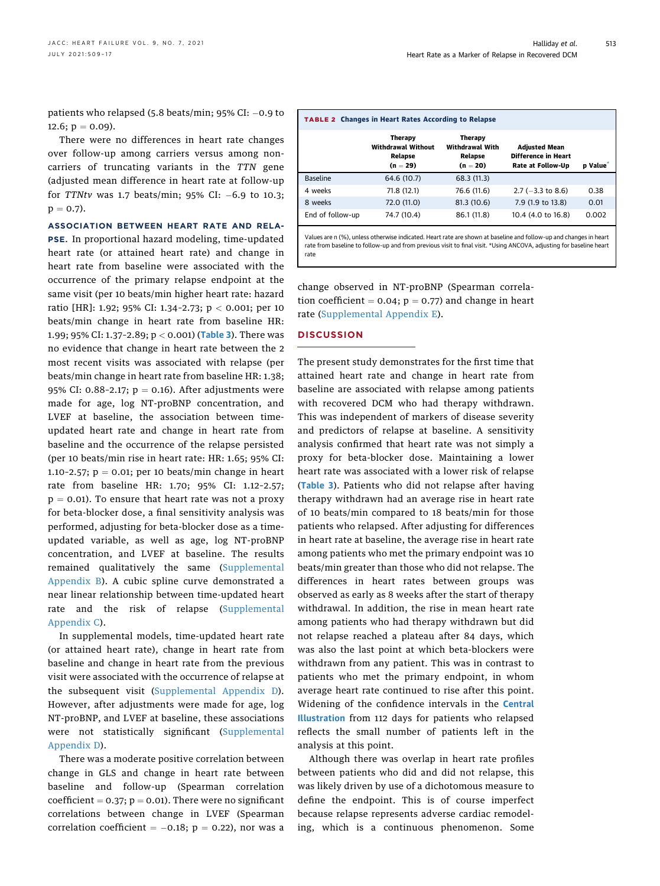patients who relapsed (5.8 beats/min;  $95\%$  CI:  $-0.9$  to 12.6;  $p = 0.09$ ).

There were no differences in heart rate changes over follow-up among carriers versus among noncarriers of truncating variants in the TTN gene (adjusted mean difference in heart rate at follow-up for TTNtv was 1.7 beats/min; 95% CI:  $-6.9$  to 10.3;  $p = 0.7$ ).

ASSOCIATION BETWEEN HEART RATE AND RELA-PSE. In proportional hazard modeling, time-updated heart rate (or attained heart rate) and change in heart rate from baseline were associated with the occurrence of the primary relapse endpoint at the same visit (per 10 beats/min higher heart rate: hazard ratio [HR]: 1.92; 95% CI: 1.34–2.73; p < 0.001; per 10 beats/min change in heart rate from baseline HR: 1.99; 95% CI: 1.37-2.89; p < 0.001) ([Table 3](#page-7-0)). There was no evidence that change in heart rate between the 2 most recent visits was associated with relapse (per beats/min change in heart rate from baseline HR: 1.38; 95% CI: 0.88-2.17;  $p = 0.16$ ). After adjustments were made for age, log NT-proBNP concentration, and LVEF at baseline, the association between timeupdated heart rate and change in heart rate from baseline and the occurrence of the relapse persisted (per 10 beats/min rise in heart rate: HR: 1.65; 95% CI: 1.10-2.57;  $p = 0.01$ ; per 10 beats/min change in heart rate from baseline HR: 1.70; 95% CI: 1.12–2.57;  $p = 0.01$ ). To ensure that heart rate was not a proxy for beta-blocker dose, a final sensitivity analysis was performed, adjusting for beta-blocker dose as a timeupdated variable, as well as age, log NT-proBNP concentration, and LVEF at baseline. The results remained qualitatively the same ([Supplemental](https://doi.org/10.1016/j.jchf.2021.03.010) [Appendix B\)](https://doi.org/10.1016/j.jchf.2021.03.010). A cubic spline curve demonstrated a near linear relationship between time-updated heart rate and the risk of relapse ([Supplemental](https://doi.org/10.1016/j.jchf.2021.03.010) [Appendix C](https://doi.org/10.1016/j.jchf.2021.03.010)).

In supplemental models, time-updated heart rate (or attained heart rate), change in heart rate from baseline and change in heart rate from the previous visit were associated with the occurrence of relapse at the subsequent visit ([Supplemental Appendix D\)](https://doi.org/10.1016/j.jchf.2021.03.010). However, after adjustments were made for age, log NT-proBNP, and LVEF at baseline, these associations were not statistically significant ([Supplemental](https://doi.org/10.1016/j.jchf.2021.03.010) [Appendix D\)](https://doi.org/10.1016/j.jchf.2021.03.010).

There was a moderate positive correlation between change in GLS and change in heart rate between baseline and follow-up (Spearman correlation coefficient =  $0.37$ ; p =  $0.01$ ). There were no significant correlations between change in LVEF (Spearman correlation coefficient  $= -0.18$ ; p  $= 0.22$ ), nor was a

<span id="page-4-0"></span>

| <b>TABLE 2 Changes in Heart Rates According to Relapse</b> |                                                               |                                                            |                                                                  |         |  |  |  |  |  |
|------------------------------------------------------------|---------------------------------------------------------------|------------------------------------------------------------|------------------------------------------------------------------|---------|--|--|--|--|--|
|                                                            | Therapy<br><b>Withdrawal Without</b><br>Relapse<br>$(n = 29)$ | Therapv<br><b>Withdrawal With</b><br>Relapse<br>$(n = 20)$ | <b>Adjusted Mean</b><br>Difference in Heart<br>Rate at Follow-Up | p Value |  |  |  |  |  |
| <b>Baseline</b>                                            | 64.6 (10.7)                                                   | 68.3 (11.3)                                                |                                                                  |         |  |  |  |  |  |
| 4 weeks                                                    | 71.8 (12.1)                                                   | 76.6 (11.6)                                                | $2.7 (-3.3)$ to 8.6)                                             | 0.38    |  |  |  |  |  |
| 8 weeks                                                    | 72.0 (11.0)                                                   | 81.3 (10.6)                                                | 7.9 (1.9 to 13.8)                                                | 0.01    |  |  |  |  |  |
| End of follow-up                                           | 74.7 (10.4)                                                   | 86.1 (11.8)                                                | 10.4 (4.0 to 16.8)                                               | 0.002   |  |  |  |  |  |

<span id="page-4-1"></span>Values are n (%), unless otherwise indicated. Heart rate are shown at baseline and follow-up and changes in heart rate from baseline to follow-up and from previous visit to final visit. \*Using ANCOVA, adjusting for baseline heart rate

change observed in NT-proBNP (Spearman correlation coefficient =  $0.04$ ;  $p = 0.77$ ) and change in heart rate ([Supplemental Appendix E](https://doi.org/10.1016/j.jchf.2021.03.010)).

## **DISCUSSION**

The present study demonstrates for the first time that attained heart rate and change in heart rate from baseline are associated with relapse among patients with recovered DCM who had therapy withdrawn. This was independent of markers of disease severity and predictors of relapse at baseline. A sensitivity analysis confirmed that heart rate was not simply a proxy for beta-blocker dose. Maintaining a lower heart rate was associated with a lower risk of relapse ([Table 3](#page-7-0)). Patients who did not relapse after having therapy withdrawn had an average rise in heart rate of 10 beats/min compared to 18 beats/min for those patients who relapsed. After adjusting for differences in heart rate at baseline, the average rise in heart rate among patients who met the primary endpoint was 10 beats/min greater than those who did not relapse. The differences in heart rates between groups was observed as early as 8 weeks after the start of therapy withdrawal. In addition, the rise in mean heart rate among patients who had therapy withdrawn but did not relapse reached a plateau after 84 days, which was also the last point at which beta-blockers were withdrawn from any patient. This was in contrast to patients who met the primary endpoint, in whom average heart rate continued to rise after this point. Widening of the confidence intervals in the **[Central](#page-6-0)** [Illustration](#page-6-0) from 112 days for patients who relapsed reflects the small number of patients left in the analysis at this point.

Although there was overlap in heart rate profiles between patients who did and did not relapse, this was likely driven by use of a dichotomous measure to define the endpoint. This is of course imperfect because relapse represents adverse cardiac remodeling, which is a continuous phenomenon. Some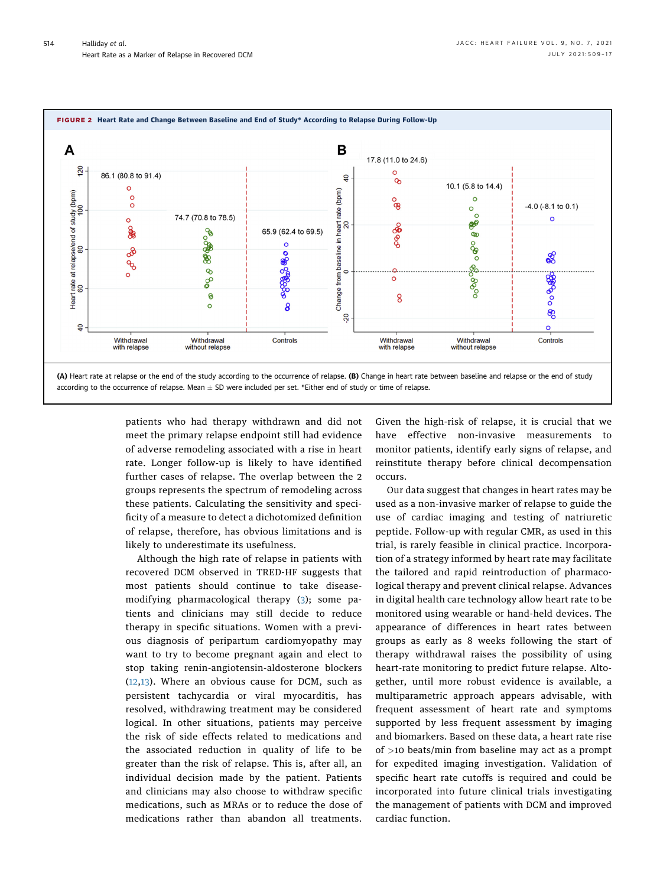<span id="page-5-0"></span>

patients who had therapy withdrawn and did not meet the primary relapse endpoint still had evidence of adverse remodeling associated with a rise in heart rate. Longer follow-up is likely to have identified further cases of relapse. The overlap between the 2 groups represents the spectrum of remodeling across these patients. Calculating the sensitivity and specificity of a measure to detect a dichotomized definition of relapse, therefore, has obvious limitations and is likely to underestimate its usefulness.

Although the high rate of relapse in patients with recovered DCM observed in TRED-HF suggests that most patients should continue to take diseasemodifying pharmacological therapy [\(3\)](#page-8-2); some patients and clinicians may still decide to reduce therapy in specific situations. Women with a previous diagnosis of peripartum cardiomyopathy may want to try to become pregnant again and elect to stop taking renin-angiotensin-aldosterone blockers ([12](#page-8-8),[13\)](#page-8-9). Where an obvious cause for DCM, such as persistent tachycardia or viral myocarditis, has resolved, withdrawing treatment may be considered logical. In other situations, patients may perceive the risk of side effects related to medications and the associated reduction in quality of life to be greater than the risk of relapse. This is, after all, an individual decision made by the patient. Patients and clinicians may also choose to withdraw specific medications, such as MRAs or to reduce the dose of medications rather than abandon all treatments. Given the high-risk of relapse, it is crucial that we have effective non-invasive measurements to monitor patients, identify early signs of relapse, and reinstitute therapy before clinical decompensation occurs.

Our data suggest that changes in heart rates may be used as a non-invasive marker of relapse to guide the use of cardiac imaging and testing of natriuretic peptide. Follow-up with regular CMR, as used in this trial, is rarely feasible in clinical practice. Incorporation of a strategy informed by heart rate may facilitate the tailored and rapid reintroduction of pharmacological therapy and prevent clinical relapse. Advances in digital health care technology allow heart rate to be monitored using wearable or hand-held devices. The appearance of differences in heart rates between groups as early as 8 weeks following the start of therapy withdrawal raises the possibility of using heart-rate monitoring to predict future relapse. Altogether, until more robust evidence is available, a multiparametric approach appears advisable, with frequent assessment of heart rate and symptoms supported by less frequent assessment by imaging and biomarkers. Based on these data, a heart rate rise of >10 beats/min from baseline may act as a prompt for expedited imaging investigation. Validation of specific heart rate cutoffs is required and could be incorporated into future clinical trials investigating the management of patients with DCM and improved cardiac function.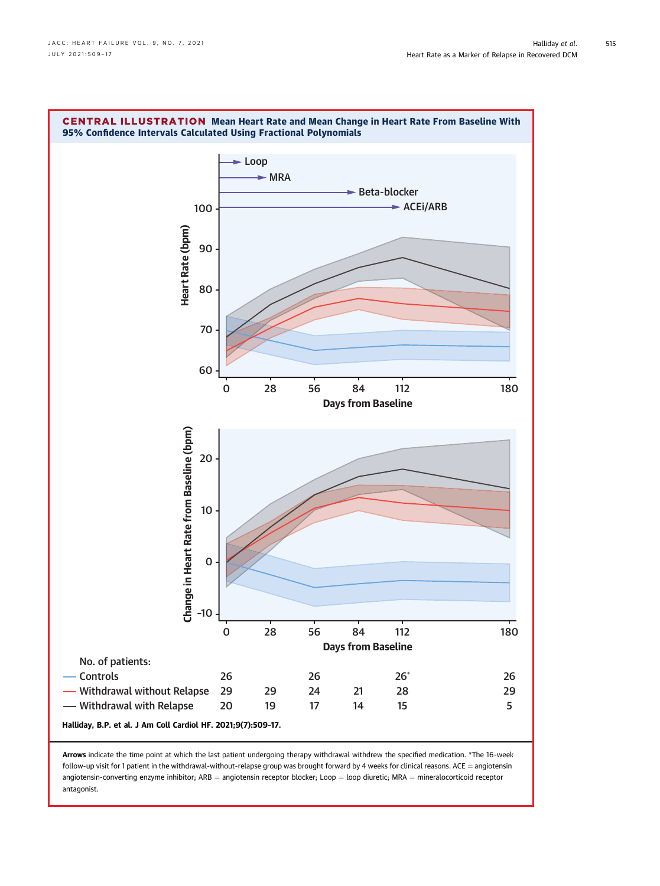<span id="page-6-0"></span>

Arrows indicate the time point at which the last patient undergoing therapy withdrawal withdrew the specified medication. \*The 16-week  $f$ ollow-up visit for 1 patient in the withdrawal-without-relapse group was brought forward by 4 weeks for clinical reasons. ACE = angiotensin angiotensin-converting enzyme inhibitor; ARB = angiotensin receptor blocker; Loop = loop diuretic; MRA = mineralocorticoid receptor antagonist.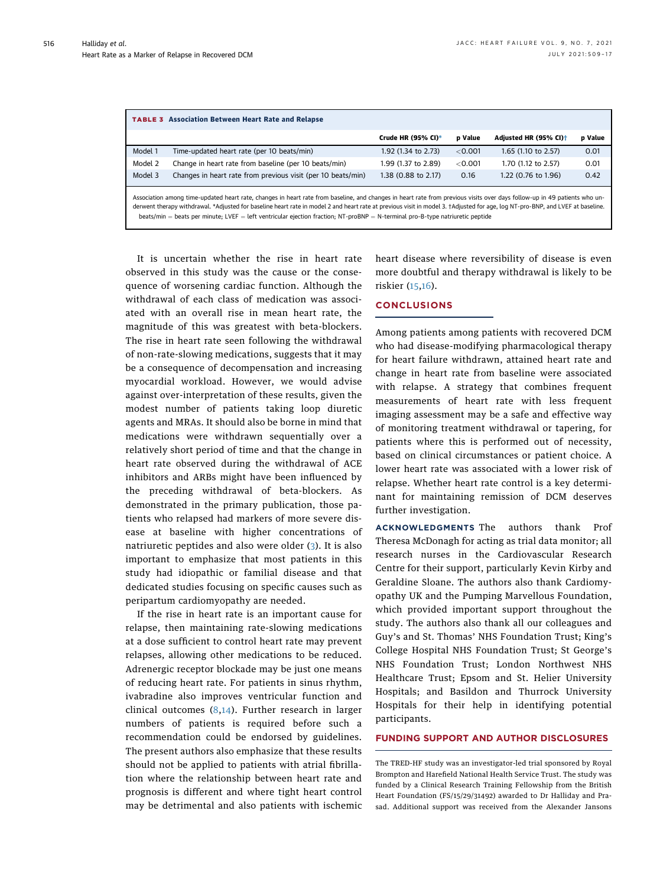<span id="page-7-0"></span>

| <b>TABLE 3</b> Association Between Heart Rate and Relapse                                                                                                                                                                                                                                                                                                                                                                                                                                     |                                                              |                     |                |                                   |         |  |  |  |
|-----------------------------------------------------------------------------------------------------------------------------------------------------------------------------------------------------------------------------------------------------------------------------------------------------------------------------------------------------------------------------------------------------------------------------------------------------------------------------------------------|--------------------------------------------------------------|---------------------|----------------|-----------------------------------|---------|--|--|--|
|                                                                                                                                                                                                                                                                                                                                                                                                                                                                                               |                                                              | Crude HR (95% CI)*  | <b>p</b> Value | Adjusted HR (95% CI) <sup>+</sup> | p Value |  |  |  |
| Model 1                                                                                                                                                                                                                                                                                                                                                                                                                                                                                       | Time-updated heart rate (per 10 beats/min)                   | 1.92 (1.34 to 2.73) | < 0.001        | 1.65 (1.10 to 2.57)               | 0.01    |  |  |  |
| Model 2                                                                                                                                                                                                                                                                                                                                                                                                                                                                                       | Change in heart rate from baseline (per 10 beats/min)        | 1.99 (1.37 to 2.89) | $<$ 0.001      | 1.70 (1.12 to 2.57)               | 0.01    |  |  |  |
| Model 3                                                                                                                                                                                                                                                                                                                                                                                                                                                                                       | Changes in heart rate from previous visit (per 10 beats/min) | 1.38 (0.88 to 2.17) | 0.16           | 1.22 (0.76 to 1.96)               | 0.42    |  |  |  |
| Association among time-updated heart rate, changes in heart rate from baseline, and changes in heart rate from previous visits over days follow-up in 49 patients who un-<br>derwent therapy withdrawal. *Adjusted for baseline heart rate in model 2 and heart rate at previous visit in model 3. †Adjusted for age, log NT-pro-BNP, and LVEF at baseline.<br>beats/min = beats per minute; LVEF = left ventricular ejection fraction; NT-proBNP = N-terminal pro-B-type natriuretic peptide |                                                              |                     |                |                                   |         |  |  |  |

<span id="page-7-1"></span>It is uncertain whether the rise in heart rate observed in this study was the cause or the consequence of worsening cardiac function. Although the withdrawal of each class of medication was associated with an overall rise in mean heart rate, the magnitude of this was greatest with beta-blockers. The rise in heart rate seen following the withdrawal of non-rate-slowing medications, suggests that it may be a consequence of decompensation and increasing myocardial workload. However, we would advise against over-interpretation of these results, given the modest number of patients taking loop diuretic agents and MRAs. It should also be borne in mind that medications were withdrawn sequentially over a relatively short period of time and that the change in heart rate observed during the withdrawal of ACE inhibitors and ARBs might have been influenced by the preceding withdrawal of beta-blockers. As demonstrated in the primary publication, those patients who relapsed had markers of more severe disease at baseline with higher concentrations of natriuretic peptides and also were older ([3](#page-8-2)). It is also important to emphasize that most patients in this study had idiopathic or familial disease and that dedicated studies focusing on specific causes such as peripartum cardiomyopathy are needed.

If the rise in heart rate is an important cause for relapse, then maintaining rate-slowing medications at a dose sufficient to control heart rate may prevent relapses, allowing other medications to be reduced. Adrenergic receptor blockade may be just one means of reducing heart rate. For patients in sinus rhythm, ivabradine also improves ventricular function and clinical outcomes ([8,](#page-8-10)[14](#page-8-11)). Further research in larger numbers of patients is required before such a recommendation could be endorsed by guidelines. The present authors also emphasize that these results should not be applied to patients with atrial fibrillation where the relationship between heart rate and prognosis is different and where tight heart control may be detrimental and also patients with ischemic heart disease where reversibility of disease is even more doubtful and therapy withdrawal is likely to be riskier ([15,](#page-8-12)[16\)](#page-8-13).

### **CONCLUSIONS**

Among patients among patients with recovered DCM who had disease-modifying pharmacological therapy for heart failure withdrawn, attained heart rate and change in heart rate from baseline were associated with relapse. A strategy that combines frequent measurements of heart rate with less frequent imaging assessment may be a safe and effective way of monitoring treatment withdrawal or tapering, for patients where this is performed out of necessity, based on clinical circumstances or patient choice. A lower heart rate was associated with a lower risk of relapse. Whether heart rate control is a key determinant for maintaining remission of DCM deserves further investigation.

ACKNOWLEDGMENTS The authors thank Prof Theresa McDonagh for acting as trial data monitor; all research nurses in the Cardiovascular Research Centre for their support, particularly Kevin Kirby and Geraldine Sloane. The authors also thank Cardiomyopathy UK and the Pumping Marvellous Foundation, which provided important support throughout the study. The authors also thank all our colleagues and Guy's and St. Thomas' NHS Foundation Trust; King's College Hospital NHS Foundation Trust; St George's NHS Foundation Trust; London Northwest NHS Healthcare Trust; Epsom and St. Helier University Hospitals; and Basildon and Thurrock University Hospitals for their help in identifying potential participants.

# FUNDING SUPPORT AND AUTHOR DISCLOSURES

The TRED-HF study was an investigator-led trial sponsored by Royal Brompton and Harefield National Health Service Trust. The study was funded by a Clinical Research Training Fellowship from the British Heart Foundation (FS/15/29/31492) awarded to Dr Halliday and Prasad. Additional support was received from the Alexander Jansons